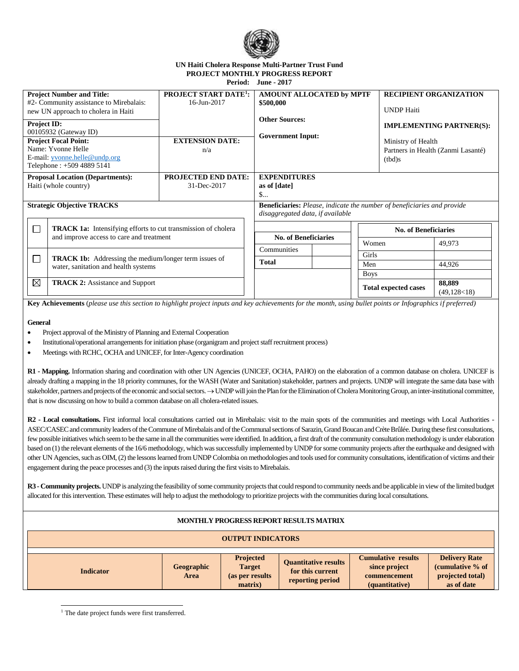

## **UN Haiti Cholera Response Multi-Partner Trust Fund PROJECT MONTHLY PROGRESS REPORT Period: June - 2017**

| <b>Project Number and Title:</b>                                                                                           |                                      | <b>PROJECT START DATE<sup>1</sup>:</b>                                         | AMOUNT ALLOCATED by MPTF                          |             | <b>RECIPIENT ORGANIZATION</b>      |                |  |
|----------------------------------------------------------------------------------------------------------------------------|--------------------------------------|--------------------------------------------------------------------------------|---------------------------------------------------|-------------|------------------------------------|----------------|--|
| #2- Community assistance to Mirebalais:                                                                                    |                                      | 16-Jun-2017                                                                    | \$500,000                                         |             |                                    |                |  |
| new UN approach to cholera in Haiti                                                                                        |                                      |                                                                                | <b>Other Sources:</b><br><b>Government Input:</b> |             | <b>UNDP</b> Haiti                  |                |  |
| Project ID:                                                                                                                |                                      |                                                                                |                                                   |             | <b>IMPLEMENTING PARTNER(S):</b>    |                |  |
| 00105932 (Gateway ID)                                                                                                      |                                      |                                                                                |                                                   |             |                                    |                |  |
| <b>Project Focal Point:</b>                                                                                                |                                      | <b>EXTENSION DATE:</b>                                                         |                                                   |             | Ministry of Health                 |                |  |
| Name: Yvonne Helle                                                                                                         |                                      | n/a                                                                            |                                                   |             | Partners in Health (Zanmi Lasanté) |                |  |
| E-mail: yvonne.helle@undp.org                                                                                              |                                      |                                                                                |                                                   |             | (tbd)s                             |                |  |
| Telephone: +509 4889 5141                                                                                                  |                                      |                                                                                |                                                   |             |                                    |                |  |
| <b>Proposal Location (Departments):</b>                                                                                    |                                      | <b>PROJECTED END DATE:</b>                                                     | <b>EXPENDITURES</b>                               |             |                                    |                |  |
| Haiti (whole country)                                                                                                      |                                      | 31-Dec-2017                                                                    | as of [date]                                      |             |                                    |                |  |
|                                                                                                                            |                                      |                                                                                | S                                                 |             |                                    |                |  |
| <b>Strategic Objective TRACKS</b>                                                                                          |                                      | <b>Beneficiaries:</b> Please, indicate the number of beneficiaries and provide |                                                   |             |                                    |                |  |
|                                                                                                                            |                                      |                                                                                | disaggregated data, if available                  |             |                                    |                |  |
| $\Box$<br><b>TRACK 1a:</b> Intensifying efforts to cut transmission of cholera<br>and improve access to care and treatment |                                      |                                                                                |                                                   |             |                                    |                |  |
|                                                                                                                            |                                      | <b>No. of Beneficiaries</b>                                                    | <b>No. of Beneficiaries</b>                       |             |                                    |                |  |
|                                                                                                                            |                                      |                                                                                | Women                                             |             | 49,973                             |                |  |
|                                                                                                                            |                                      |                                                                                | Communities                                       | Girls       |                                    |                |  |
| $\Box$<br><b>TRACK 1b:</b> Addressing the medium/longer term issues of                                                     |                                      |                                                                                | <b>Total</b>                                      | Men         |                                    | 44,926         |  |
|                                                                                                                            | water, sanitation and health systems |                                                                                |                                                   | <b>Boys</b> |                                    |                |  |
| $\boxtimes$<br><b>TRACK 2:</b> Assistance and Support                                                                      |                                      |                                                                                |                                                   |             |                                    | 88,889         |  |
|                                                                                                                            |                                      |                                                                                |                                                   |             | <b>Total expected cases</b>        | (49, 128 < 18) |  |
|                                                                                                                            |                                      |                                                                                |                                                   |             |                                    |                |  |

**Key Achievements** (*please use this section to highlight project inputs and key achievements for the month, using bullet points or Infographics if preferred)*

## **General**

• Project approval of the Ministry of Planning and External Cooperation

Institutional/operational arrangements for initiation phase (organigram and project staff recruitment process)

Meetings with RCHC, OCHA and UNICEF, for Inter-Agency coordination

**R1 - Mapping.** Information sharing and coordination with other UN Agencies (UNICEF, OCHA, PAHO) on the elaboration of a common database on cholera. UNICEF is already drafting a mapping in the 18 priority communes, for the WASH (Water and Sanitation) stakeholder, partners and projects. UNDP will integrate the same data base with stakeholder, partners and projects of the economic and social sectors.  $\rightarrow$  UNDP will join the Plan for the Elimination of Cholera Monitoring Group, an inter-institutional committee, that is now discussing on how to build a common database on all cholera-related issues.

R2 - Local consultations. First informal local consultations carried out in Mirebalais: visit to the main spots of the communities and meetings with Local Authorities -ASEC/CASEC and community leaders of the Commune of Mirebalais and of the Communal sections of Sarazin, Grand Boucan and Crète Brûlée. During these first consultations, few possible initiatives which seem to be the same in all the communities were identified. In addition, a first draft of the community consultation methodology is under elaboration based on (1) the relevant elements of the 16/6 methodology, which was successfully implemented by UNDP for some community projects after the earthquake and designed with other UN Agencies, such as OIM, (2) the lessons learned from UNDP Colombia on methodologies and tools used for community consultations, identification of victims and their engagement during the peace processes and (3) the inputs raised during the first visits to Mirebalais.

**R3 - Community projects.** UNDP is analyzing the feasibility of some community projects that could respond to community needs and be applicable in view of the limited budget allocated for this intervention. These estimates will help to adjust the methodology to prioritize projects with the communities during local consultations.

| <b>MONTHLY PROGRESS REPORT RESULTS MATRIX</b> |                           |                                                           |                                                                     |                                                                              |                                                                            |  |  |  |  |
|-----------------------------------------------|---------------------------|-----------------------------------------------------------|---------------------------------------------------------------------|------------------------------------------------------------------------------|----------------------------------------------------------------------------|--|--|--|--|
| <b>OUTPUT INDICATORS</b>                      |                           |                                                           |                                                                     |                                                                              |                                                                            |  |  |  |  |
| <b>Indicator</b>                              | Geographic<br><b>Area</b> | Projected<br><b>Target</b><br>(as per results)<br>matrix) | <b>Quantitative results</b><br>for this current<br>reporting period | <b>Cumulative results</b><br>since project<br>commencement<br>(quantitative) | <b>Delivery Rate</b><br>(cumulative % of<br>projected total)<br>as of date |  |  |  |  |

j <sup>1</sup> The date project funds were first transferred.